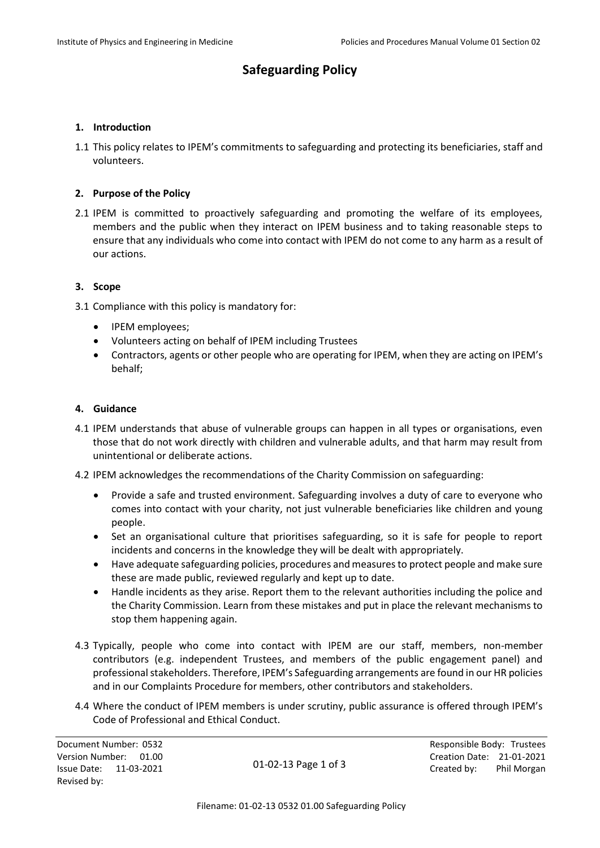# **Safeguarding Policy**

### **1. Introduction**

1.1 This policy relates to IPEM's commitments to safeguarding and protecting its beneficiaries, staff and volunteers.

## **2. Purpose of the Policy**

2.1 IPEM is committed to proactively safeguarding and promoting the welfare of its employees, members and the public when they interact on IPEM business and to taking reasonable steps to ensure that any individuals who come into contact with IPEM do not come to any harm as a result of our actions.

### **3. Scope**

- 3.1 Compliance with this policy is mandatory for:
	- IPEM employees;
	- Volunteers acting on behalf of IPEM including Trustees
	- Contractors, agents or other people who are operating for IPEM, when they are acting on IPEM's behalf;

#### **4. Guidance**

- 4.1 IPEM understands that abuse of vulnerable groups can happen in all types or organisations, even those that do not work directly with children and vulnerable adults, and that harm may result from unintentional or deliberate actions.
- 4.2 IPEM acknowledges the recommendations of the Charity Commission on safeguarding:
	- Provide a safe and trusted environment. Safeguarding involves a duty of care to everyone who comes into contact with your charity, not just vulnerable beneficiaries like children and young people.
	- Set an organisational culture that prioritises safeguarding, so it is safe for people to report incidents and concerns in the knowledge they will be dealt with appropriately.
	- Have adequate safeguarding policies, procedures and measures to protect people and make sure these are made public, reviewed regularly and kept up to date.
	- Handle incidents as they arise. Report them to the relevant authorities including the police and the Charity Commission. Learn from these mistakes and put in place the relevant mechanisms to stop them happening again.
- 4.3 Typically, people who come into contact with IPEM are our staff, members, non-member contributors (e.g. independent Trustees, and members of the public engagement panel) and professional stakeholders. Therefore, IPEM's Safeguarding arrangements are found in our HR policies and in our Complaints Procedure for members, other contributors and stakeholders.
- 4.4 Where the conduct of IPEM members is under scrutiny, public assurance is offered through IPEM's Code of Professional and Ethical Conduct.

Document Number: 0532 **Responsible Body: Trustees** Revised by:

01-02-13 Page 1 of 3

Version Number: 01.00 Creation Date: 21-01-2021 Issue Date: 11-03-2021 Created by: Phil Morgan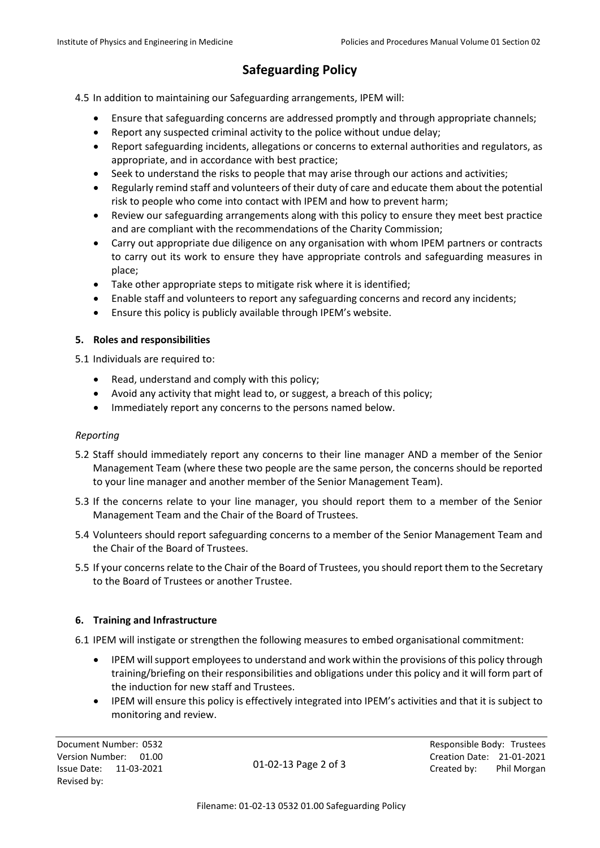# **Safeguarding Policy**

4.5 In addition to maintaining our Safeguarding arrangements, IPEM will:

- Ensure that safeguarding concerns are addressed promptly and through appropriate channels;
- Report any suspected criminal activity to the police without undue delay;
- Report safeguarding incidents, allegations or concerns to external authorities and regulators, as appropriate, and in accordance with best practice;
- Seek to understand the risks to people that may arise through our actions and activities;
- Regularly remind staff and volunteers of their duty of care and educate them about the potential risk to people who come into contact with IPEM and how to prevent harm;
- Review our safeguarding arrangements along with this policy to ensure they meet best practice and are compliant with the recommendations of the Charity Commission;
- Carry out appropriate due diligence on any organisation with whom IPEM partners or contracts to carry out its work to ensure they have appropriate controls and safeguarding measures in place;
- Take other appropriate steps to mitigate risk where it is identified;
- Enable staff and volunteers to report any safeguarding concerns and record any incidents;
- Ensure this policy is publicly available through IPEM's website.

### **5. Roles and responsibilities**

5.1 Individuals are required to:

- Read, understand and comply with this policy;
- Avoid any activity that might lead to, or suggest, a breach of this policy;
- Immediately report any concerns to the persons named below.

#### *Reporting*

- 5.2 Staff should immediately report any concerns to their line manager AND a member of the Senior Management Team (where these two people are the same person, the concerns should be reported to your line manager and another member of the Senior Management Team).
- 5.3 If the concerns relate to your line manager, you should report them to a member of the Senior Management Team and the Chair of the Board of Trustees.
- 5.4 Volunteers should report safeguarding concerns to a member of the Senior Management Team and the Chair of the Board of Trustees.
- 5.5 If your concerns relate to the Chair of the Board of Trustees, you should report them to the Secretary to the Board of Trustees or another Trustee.

#### **6. Training and Infrastructure**

6.1 IPEM will instigate or strengthen the following measures to embed organisational commitment:

- IPEM will support employees to understand and work within the provisions of this policy through training/briefing on their responsibilities and obligations under this policy and it will form part of the induction for new staff and Trustees.
- IPEM will ensure this policy is effectively integrated into IPEM's activities and that it is subject to monitoring and review.

01-02-13 Page 2 of 3